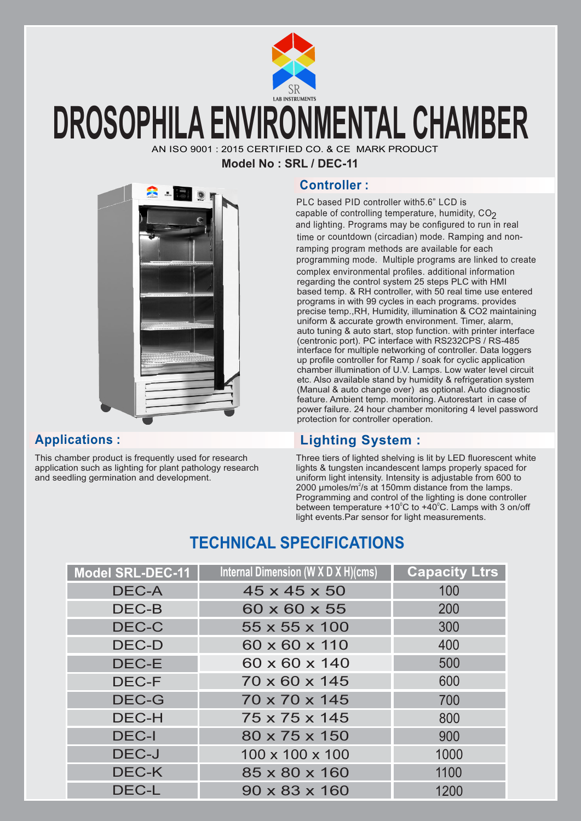

## **DROSOPHILA ENVIRONMENTAL CHAMBER**

AN ISO 9001 : 2015 CERTIFIED CO. & CE MARK PRODUCT

**Model No : SRL / DEC-11**



This chamber product is frequently used for research application such as lighting for plant pathology research and seedling germination and development.

### **Controller :**

PLC based PID controller with5.6" LCD is capable of controlling temperature, humidity,  $CO<sub>2</sub>$ and lighting. Programs may be configured to run in real time or countdown (circadian) mode. Ramping and nonramping program methods are available for each programming mode. Multiple programs are linked to create complex environmental profiles. additional information regarding the control system 25 steps PLC with HMI based temp. & RH controller, with 50 real time use entered programs in with 99 cycles in each programs. provides precise temp.,RH, Humidity, illumination & CO2 maintaining uniform & accurate growth environment. Timer, alarm, auto tuning & auto start, stop function. with printer interface (centronic port). PC interface with RS232CPS / RS-485 interface for multiple networking of controller. Data loggers up profile controller for Ramp / soak for cyclic application chamber illumination of U.V. Lamps. Low water level circuit etc. Also available stand by humidity & refrigeration system (Manual & auto change over) as optional. Auto diagnostic feature. Ambient temp. monitoring. Autorestart in case of power failure. 24 hour chamber monitoring 4 level password protection for controller operation.

## **Applications : Lighting System :**

Three tiers of lighted shelving is lit by LED fluorescent white lights & tungsten incandescent lamps properly spaced for uniform light intensity. Intensity is adjustable from 600 to 2000 µmoles/ $m^2$ /s at 150mm distance from the lamps. Programming and control of the lighting is done controller between temperature  $+10^{\circ}$ C to  $+40^{\circ}$ C. Lamps with 3 on/off light events.Par sensor for light measurements.

## **TECHNICAL SPECIFICATIONS**

| Model SRL-DEC-11 | Internal Dimension (W X D X H)(cms) | <b>Capacity Ltrs</b> |
|------------------|-------------------------------------|----------------------|
| <b>DEC-A</b>     | 45 x 45 x 50                        | 100                  |
| DEC-B            | 60 x 60 x 55                        | 200                  |
| DEC-C            | 55 x 55 x 100                       | 300                  |
| <b>DEC-D</b>     | 60 x 60 x 110                       | 400                  |
| DEC-E            | 60 x 60 x 140                       | 500                  |
| <b>DEC-F</b>     | 70 x 60 x 145                       | 600                  |
| DEC-G            | 70 x 70 x 145                       | 700                  |
| <b>DEC-H</b>     | $75 \times 75 \times 145$           | 800                  |
| <b>DEC-I</b>     | 80 x 75 x 150                       | 900                  |
| DEC-J            | 100 x 100 x 100                     | 1000                 |
| DEC-K            | 85 x 80 x 160                       | 1100                 |
| <b>DEC-L</b>     | $90 \times 83 \times 160$           | 1200                 |